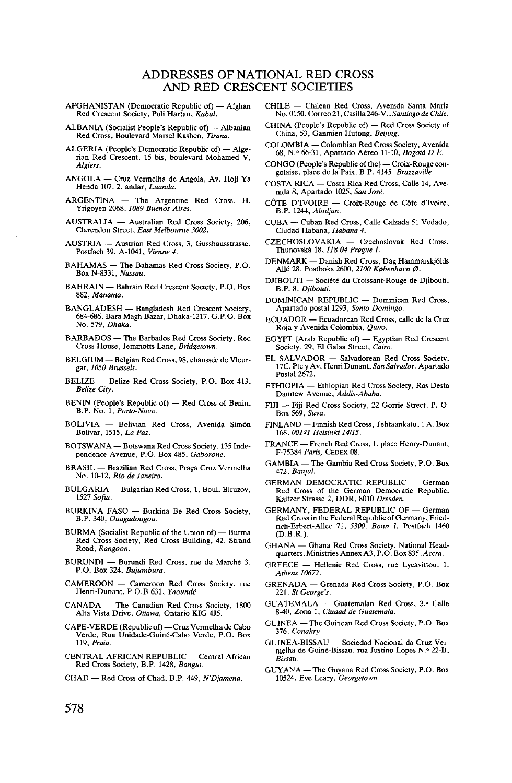## ADDRESSES OF NATIONAL RED CROSS AND RED CRESCENT SOCIETIES

- AFGHANISTAN (Democratic Republic of) Afghan Red Crescent Society, Puli Hartan, *Kabul.*
- ALBANIA (Socialist People's Republic of) Albanian Red Cross, Boulevard Marsel Kashen, *Tirana.*
- ALGERIA (People's Democratic Republic of) Alge- rian Red Crescent, 15 bis, boulevard Mohamed V, *Algiers.*
- ANGOLA Cruz Vermelha de Angola, Av. Hoji Ya Henda 107, 2. andar, *Luanda.*
- ARGENTINA The Argentine Red Cross, H. Yrigoyen 2068, *1089 Buenos Aires.*
- AUSTRALIA Australian Red Cross Society, 206, Clarendon Street, *East Melbourne 3002.*
- AUSTRIA Austrian Red Cross, 3, Gusshausstrasse, Postfach 39, A-1041, *Vienne 4.*
- BAHAMAS The Bahamas Red Cross Society, P.O. Box N-8331, *Nassau.*
- BAHRAIN Bahrain Red Crescent Society, P.O. Box 882, *Manama.*
- BANGLADESH Bangladesh Red Crescent Society, 684-686, Bara Magh Bazar, Dhaka-1217, G.P.O. Box No. 579, *Dhaka.*
- BARBADOS The Barbados Red Cross Society, Red Cross House, Jemmotts Lane, *Bridgetown.*
- BELGIUM Belgian Red Cross, 98, chausse'e de Vleur- gat, *1050 Brussels.*
- BELIZE Belize Red Cross Society, P.O. Box 413, *Belize City.*
- BENIN (People's Republic of) Red Cross of Benin, B.P. No. 1, *Porto-Novo.*
- BOLIVIA Bolivian Red Cross, Avenida Sim6n Bolivar, 1515, *La Paz.*
- BOTSWANA Botswana Red Cross Society, 135 Inde- pendence Avenue, P.O. Box 485, *Gaborone.*
- BRASIL Brazilian Red Cross, Praca Cruz Vermelha No. 10-12, *Rio de Janeiro.*
- BULGARIA Bulgarian Red Cross, 1, Boul. Biruzov, <sup>1527</sup> *Sofia.*
- BURKINA FASO Burkina Be Red Cross Society, B.P. 340, *Ouagadougou.*
- BURMA (Socialist Republic of the Union of) Burma Red Cross Society, Red Cross Building, 42, Strand Road, *Rangoon.*
- BURUNDI Burundi Red Cross, rue du Marchd 3, P.O. Box 324, *Bujumbura.*
- CAMEROON Cameroon Red Cross Society, rue Henri-Dunant, P.O.B 631, *Yaounde'.*
- CANADA The Canadian Red Cross Society, 1800 Alta Vista Drive, *Ottawa,* Ontario KIG 4J5.
- CAPE-VERDE (Republic of) Cruz Vermelha de Cabo Verde, Rua Unidade-Guin6-Cabo Verde, P.O. Box 119, *Praia.*
- CENTRAL AFRICAN REPUBLIC Central African Red Cross Society, B.P. 1428, *Bangui.*
- CHAD Red Cross of Chad, B.P. 449, *N'Djamena.*
- CHILE Chilean Red Cross, Avenida Santa Maria No. 0150, Correo 21, Casilla 246-V., *Santiago de Chile.*
- CHINA (People's Republic of) Red Cross Society of China, 53, Ganmien Hutong, *Beijing.*
- COLOMBIA Colombian Red Cross Society, Avenida 68, N.° 66-31, Apartado Agreo 11-10, *Bogotd D.E.*
- CONGO (People's Republic of the) Croix-Rouge con- golaise, place de la Paix, B.P. 4145, *Brazzaville.*
- COSTA RICA Costa Rica Red Cross, Calle 14, Ave- nida 8, Apartado 1025, *San Jose'.*
- C6TE D'lVOIRE Croix-Rouge de C6te d'lvoire, B.P. 1244, *Abidjan.*
- CUBA Cuban Red Cross, Calle Calzada 51 Vedado, Ciudad Habana, *Habana 4.*
- CZECHOSLOVAKIA Czechoslovak Red Cross, Thunovska 18,*118 04 Prague 1.*
- DENMARK Danish Red Cross, Dag Hammarskjolds Allé 28, Postboks 2600, 2100 København Ø.
- DJIBOUTI Socie^ du Croissant-Rouge de Djibouti, B.P. 8, *Djibouti.*
- DOMINICAN REPUBLIC Dominican Red Cross, Apartado postal 1293, *Santo Domingo.*
- ECUADOR Ecuadorean Red Cross, calle de la Cruz Roja y Avenida Colombia, *Quito.*
- EGYPT (Arab Republic of) Egyptian Red Crescent Society, 29, El Galaa Street, *Cairo.*
- EL SALVADOR Salvadorean Red Cross Society, 17C. Pte y Av. Henri Dunant, *San Salvador,* Apartado Postal 2672.
- ETHIOPIA Ethiopian Red Cross Society, Ras Desta Damtew Avenue, *Addis-Ababa.*
- FIJI Fiji Red Cross Society, 22 Gorrie Street, P. O. Box 569, *Suva.*
- FINLAND —Finnish Red Cross, Tehtaankatu, 1 A. Box 168, *00141 Helsinki 14115.*
- FRANCE French Red Cross, 1, place Henry-Dunant, F-75384 *Paris,* CEDEX 08.
- GAMBIA The Gambia Red Cross Society, P.O. Box 472, *Banjul.*
- GERMAN DEMOCRATIC REPUBLIC German Red Cross of the German Democratic Republic, Kaitzer Strasse 2, DDR, 8010 *Dresden.*
- GERMANY, FEDERAL REPUBLIC OF German Red Cross in the Federal Republic of Germany, Fried- rich-Erbert-AUee 71, *5300, Bonn 1,* Postfach 1460 (D.B.R.).
- GHANA Ghana Red Cross Society, National Head- quarters, Ministries Annex A3, P.O. Box 835, *Accra.*
- GREECE Hellenic Red Cross, rue Lycavittou, 1, *Athens 10672.*
- GRENADA Grenada Red Cross Society, P.O. Box 221, *St George's.*
- GUATEMALA Guatemalan Red Cross, 3.' Calle 8-40, Zona 1, *Ciudad de Guatemala.*
- GUINEA The Guinean Red Cross Society, P.O. Box 376, *Conakry.*
- GUINEA-BISSAU Sociedad Nacional da Cruz Ver- melha de Guine'-Bissau, rua Justino Lopes N.° 22-B, *Bissau.*
- GUYANA The Guyana Red Cross Society, P.O. Box 10524, Eve Leary, *Georgetown*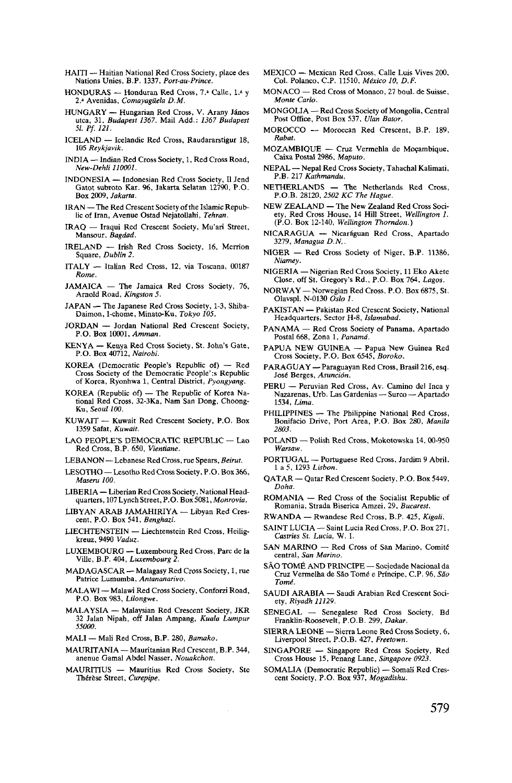- HAITI Haitian National Red Cross Society, place des Nations Unies, B.P. 1337, *Port-au-Prince.*
- HONDURAS Honduran Red Cross, *1.'* Calle, l.« y 2.a Avenidas, *Comayagiiela D.M.*
- HUNGARY Hungarian Red Cross, V. Arany Janos utca, 31, *Budapest 1367.* Mail Add.: *1367 Budapest 51. Pf. 121.*
- ICELAND Icelandic Red Cross, Raudararstigur 18, <sup>105</sup> *Reykjavik.*
- INDIA Indian Red Cross Society, 1, Red Cross Road, *New-Dehli 110001.*
- INDONESIA Indonesian Red Cross Society, II Jend Gatot subroto Kar. 96, Jakarta Selatan 12790, P.O. Box 2009, *Jakarta.*
- IRAN The Red Crescent Society of the Islamic Repub- lic of Iran, Avenue Ostad Nejatollahi, *Tehran.*
- IRAQ Iraqui Red Crescent Society, Mu'ari Street, Mansour, *Bagdad.*
- IRELAND Irish Red Cross Society, 16, Merrion Square, *Dublin 2.*
- ITALY Italian Red Cross, 12, via Toscana, 00187 *Rome.*
- JAMAICA The Jamaica Red Cross Society, 76, Arnold Road, *Kingston 5.*
- JAPAN The Japanese Red Cross Society, 1-3, Shiba- Daimon, I-chome, Minato-Ku, *Tokyo 105.*
- JORDAN Jordan National Red Crescent Society, P.O. Box 10001, *Amman.*
- KENYA Kenya Red Cross Society, St. John's Gate, P.O. Box 40712, *Nairobi.*
- KOREA (Democratic People's Republic of) Red of Korea, Ryonhwa 1, Central District, Pyongyang.
- KOREA (Republic of) The Republic of Korea Na- tional Red Cross, 32-3Ka, Nam San Dong, Choong- Ku, *Seoul 100.*
- KUWAIT Kuwait Red Crescent Society, P.O. Box 1359 Safat, *Kuwait.*
- LAO PEOPLE'S DEMOCRATIC REPUBLIC Lao Red Cross, B.P. 650, *Vientiane.*
- LEBANON —Lebanese Red Cross, rue Spears, *Beirut.*
- LESOTHO Lesotho Red Cross Society, P.O. Box 366, *Maseru 100.*
- LIBERIA Liberian Red Cross Society, National Head- quarters, 107 Lynch Street, P.O. Box 5081, *Monrovia.*
- LIBYAN ARAB JAMAHIRIYA Libyan Red Cres- cent, P.O. Box 541, *Benghazi.*
- LIECHTENSTEIN Liechtenstein Red Cross, Heilig- kreuz, 9490 *Vaduz.*
- LUXEMBOURG Luxembourg Red Cross, Pare de la Ville, B.P. 404, *Luxembourg 2.*
- MADAGASCAR Malagasy Red Cross Society, 1, rue Patrice Lumumba, *Antananarivo.*
- MALAWI Malawi Red Cross Society, Conforzi Road, P.O. Box 983, *Lilongwe.*
- MALAYSIA Malaysian Red Crescent Society, JKR 32 Jalan Nipah, off Jalan Ampang, *Kuala Lumpur 55000.*
- MALI Mali Red Cross, B.P. 280, *Bamako.*
- MAURITANIA Mauritanian Red Crescent, B.P. 344, anenue Gamal Abdel Nasser, *Nouakchott.*
- MAURITIUS Mauritius Red Cross Society, Ste Therese Street, *Curepipe.*
- MEXICO Mexican Red Cross, Calle Luis Vives 200, Col. Polanco, C.P. 11510, *Mtxico 10, D.F.*
- MONACO Red Cross of Monaco, 27 boul. de Suisse, *Monte Carlo.*
- MONGOLIA Red Cross Society of Mongolia, Central Post Office, Post Box 537, *Ulan Bator.*
- MOROCCO Moroccan Red Crescent, B.P. 189, *Rabat.*
- MOZAMBIQUE Cruz Vermehla de Mozambique, Caixa Postal 2986, *Maputo.*
- NEPAL Nepal Red Cross Society, Tahachal Kalimati, P.B. 217 *Kathmandu.*
- NETHERLANDS The Netherlands Red Cross, P.O.B. 28120, *2502 KC The Hague.*
- ety. Red Cross House, 14 Hill Street, Wellington 1. (P.O. Box 12-140, *Wellington Thorndon.)*
- NICARAGUA Nicaráguan Red Cross, Apartado 3279, Managua D.N..
- NIGER Red Cross Society of Niger, B.P. 11386, *Niamey.*
- NIGERIA Nigerian Red Cross Society, 11 Eko Akete Close, off St. Gregory's Rd., P.O. Box 764, *Lagos.*
- NORWAY Norwegian Red Cross, P.O. Box 6875, St. Olavspl. N-0130 *Oslo 1.*
- PAKISTAN Pakistan Red Crescent Society, National Headquarters, Sector H-8, *Islamabad.*
- PANAMA Red Cross Society of Panama, Apartado Postal 668, Zona 1, *Panama.*
- PAPUA NEW GUINEA Papua New Guinea Red Cross Society, P.O. Box 6545, *Boroko.*
- PARAGUAY Paraguayan Red Cross, Brasil 216, esq. José Berges, Asunción.
- PERU Peruvian Red Cross, Av. Camino del Inca y Nazarenas, Urb. Las Gardenias — Surco — Apartado<br>1534, *Lima*.
- PHILIPPINES -- The Philippine National Red Cross, Bonifacio Drive, Port Area, P.O. Box 280, *Manila*<br>2803
- *2803.* POLAND Polish Red Cross, Mokotowska 14, 00-950 *Warsaw.*
- PORTUGAL Portuguese Red Cross, Jardim 9 Abril, 1 a 5, 1293 *Lisbon.*
- QATAR Qatar Red Crescent Society, P.O. Box 5449, *Doha.*
- ROMANIA Red Cross of the Socialist Republic of Romania, Strada Biserica Amzei, 29, Bucarest.
- RWANDA Rwandese Red Cross, B.P. 425, Kigali,
- RWANDA Rwandese Red Cross, B.P. 425, *Kigali.* SAINT LUCIA Saint Lucia Red Cross, P.O. Box 271, *Castries St. Lucia,* W. I.
- SAN MARINO Red Cross of San Marino, Comité central, *San Marino.*
- SAO TOME AND PRINCIPE Sociedade Nacional da Cruz Vermelha de Sao Tome' e Principe, C.P. 96, *Sao*
- **The SAUDI ARABIA Saudi Arabian Red Crescent Soci-**<br>  $T_{\text{av}}$ , *Riyadh 11129*.
- SENEGAL Senegalese Red Cross Society, Bd Franklin-Roosevelt, P.O.B. 299, *Dakar.*
- SIERRA LEONE Sierra Leone Red Cross Society, 6, Liverpool Street, P.O.B. 427, *Freetown.*
- SINGAPORE Singapore Red Cross Society, Red Cross House 15, Penang Lane, *Singapore 0923.*
- SOMALIA (Democratic Republic) Somali Red Cres- cent Society, P.O. Box 937, *Mogadishu.*